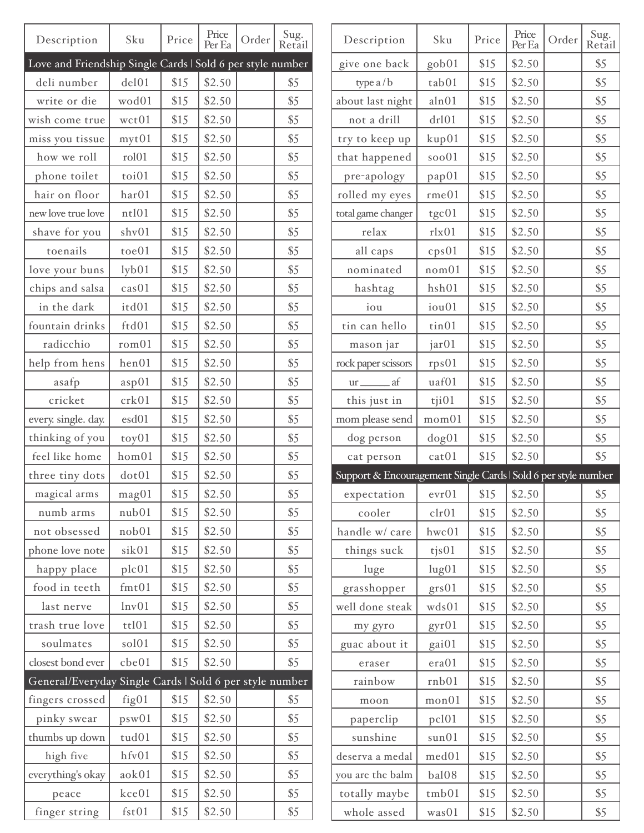| Description                                                | Sku               | Price | Price<br>Per Ea | Order | Sug.<br>Retail | Description                                                    | Sku                 | Price | Price<br>Per Ea | Order | Sug.<br>Retail |
|------------------------------------------------------------|-------------------|-------|-----------------|-------|----------------|----------------------------------------------------------------|---------------------|-------|-----------------|-------|----------------|
| Love and Friendship Single Cards   Sold 6 per style number |                   |       |                 |       |                | give one back                                                  | gob01               | \$15  | \$2.50          |       | \$5            |
| deli number                                                | del01             | \$15  | \$2.50          |       | \$5            | type a/b                                                       | tab01               | \$15  | \$2.50          |       | \$5            |
| write or die                                               | wod01             | \$15  | \$2.50          |       | \$5            | about last night                                               | aln01               | \$15  | \$2.50          |       | \$5            |
| wish come true                                             | wct01             | \$15  | \$2.50          |       | \$5            | not a drill                                                    | dr101               | \$15  | \$2.50          |       | \$5            |
| miss you tissue                                            | myt01             | \$15  | \$2.50          |       | \$5            | try to keep up                                                 | kup01               | \$15  | \$2.50          |       | \$5            |
| how we roll                                                | roll01            | \$15  | \$2.50          |       | \$5            | that happened                                                  | soo01               | \$15  | \$2.50          |       | \$5            |
| phone toilet                                               | toi01             | \$15  | \$2.50          |       | \$5            | pre-apology                                                    | pap01               | \$15  | \$2.50          |       | \$5            |
| hair on floor                                              | har01             | \$15  | \$2.50          |       | \$5            | rolled my eyes                                                 | rme01               | \$15  | \$2.50          |       | \$5            |
| new love true love                                         | nt101             | \$15  | \$2.50          |       | \$5            | total game changer                                             | tgc01               | \$15  | \$2.50          |       | \$5            |
| shave for you                                              | shv01             | \$15  | \$2.50          |       | \$5            | relax                                                          | rlx01               | \$15  | \$2.50          |       | \$5            |
| toenails                                                   | toe01             | \$15  | \$2.50          |       | \$5            | all caps                                                       | cps01               | \$15  | \$2.50          |       | \$5            |
| love your buns                                             | $1$ yb $01$       | \$15  | \$2.50          |       | \$5            | nominated                                                      | nom <sub>01</sub>   | \$15  | \$2.50          |       | \$5            |
| chips and salsa                                            | cas01             | \$15  | \$2.50          |       | \$5            | hashtag                                                        | hsh01               | \$15  | \$2.50          |       | \$5            |
| in the dark                                                | itd01             | \$15  | \$2.50          |       | \$5            | iou                                                            | iou01               | \$15  | \$2.50          |       | \$5            |
| fountain drinks                                            | ftd01             | \$15  | \$2.50          |       | \$5            | tin can hello                                                  | tin01               | \$15  | \$2.50          |       | \$5            |
| radicchio                                                  | rom <sub>01</sub> | \$15  | \$2.50          |       | \$5            | mason jar                                                      | jar01               | \$15  | \$2.50          |       | \$5            |
| help from hens                                             | hen01             | \$15  | \$2.50          |       | \$5            | rock paper scissors                                            | rps01               | \$15  | \$2.50          |       | \$5            |
| asafp                                                      | asp01             | \$15  | \$2.50          |       | \$5            | $ur$ <sub><math>f</math></sub> af                              | uaf01               | \$15  | \$2.50          |       | \$5            |
| cricket                                                    | crk01             | \$15  | \$2.50          |       | \$5            | this just in                                                   | $\dot{\tau}$ i $01$ | \$15  | \$2.50          |       | \$5            |
| every. single. day.                                        | esd01             | \$15  | \$2.50          |       | \$5            | mom please send                                                | mom01               | \$15  | \$2.50          |       | \$5            |
| thinking of you                                            | toy01             | \$15  | \$2.50          |       | \$5            | dog person                                                     | dog01               | \$15  | \$2.50          |       | \$5            |
| feel like home                                             | hom01             | \$15  | \$2.50          |       | \$5            | cat person                                                     | cat01               | \$15  | \$2.50          |       | \$5            |
| three tiny dots                                            | dot01             | \$15  | \$2.50          |       | \$5            | Support & Encouragement Single Cards   Sold 6 per style number |                     |       |                 |       |                |
| magical arms                                               | mag <sub>01</sub> | \$15  | \$2.50          |       | \$5            | expectation   evr01   \$15   \$2.50                            |                     |       |                 |       | \$5            |
| numb arms                                                  | nub01             | \$15  | \$2.50          |       | \$5            | cooler                                                         | clr01               | \$15  | \$2.50          |       | \$5            |
| not obsessed                                               | nob01             | \$15  | \$2.50          |       | \$5            | handle w/ care                                                 | hwc01               | \$15  | \$2.50          |       | \$5            |
| phone love note                                            | sik01             | \$15  | \$2.50          |       | \$5            | things suck                                                    | $t$ js $01$         | \$15  | \$2.50          |       | \$5            |
| happy place                                                | plc01             | \$15  | \$2.50          |       | \$5            | luge                                                           | lug01               | \$15  | \$2.50          |       | \$5            |
| food in teeth                                              | fmt01             | \$15  | \$2.50          |       | \$5            | grasshopper                                                    | grs01               | \$15  | \$2.50          |       | \$5            |
| last nerve                                                 | lnv01             | \$15  | \$2.50          |       | \$5            | well done steak                                                | wds01               | \$15  | \$2.50          |       | \$5            |
| trash true love                                            | tt101             | \$15  | \$2.50          |       | \$5            | my gyro                                                        | gyr01               | \$15  | \$2.50          |       | \$5            |
| soulmates                                                  | sol01             | \$15  | \$2.50          |       | \$5            | guac about it                                                  | gai01               | \$15  | \$2.50          |       | \$5            |
| closest bond ever                                          | che01             | \$15  | \$2.50          |       | \$5            | eraser                                                         | era01               | \$15  | \$2.50          |       | \$5            |
| General/Everyday Single Cards   Sold 6 per style number    |                   |       |                 |       |                | rainbow                                                        | rnb01               | \$15  | \$2.50          |       | \$5            |
| fingers crossed                                            | fig01             | \$15  | \$2.50          |       | \$5            | moon                                                           | mon <sub>01</sub>   | \$15  | \$2.50          |       | \$5            |
| pinky swear                                                | psw01             | \$15  | \$2.50          |       | \$5            | paperclip                                                      | pc101               | \$15  | \$2.50          |       | \$5            |
| thumbs up down                                             | tud01             | \$15  | \$2.50          |       | \$5            | sunshine                                                       | sun01               | \$15  | \$2.50          |       | \$5            |
| high five                                                  | hfv01             | \$15  | \$2.50          |       | \$5            | deserva a medal                                                | med01               | \$15  | \$2.50          |       | \$5            |
| everything's okay                                          | aok01             | \$15  | \$2.50          |       | \$5            | you are the balm                                               | bal08               | \$15  | \$2.50          |       | \$5            |
| peace                                                      | kce01             | \$15  | \$2.50          |       | \$5            | totally maybe                                                  | tmb01               | \$15  | \$2.50          |       | \$5            |
| finger string                                              | fst01             | \$15  | \$2.50          |       | \$5            | whole assed                                                    | was01               | \$15  | \$2.50          |       | \$5            |
|                                                            |                   |       |                 |       |                |                                                                |                     |       |                 |       |                |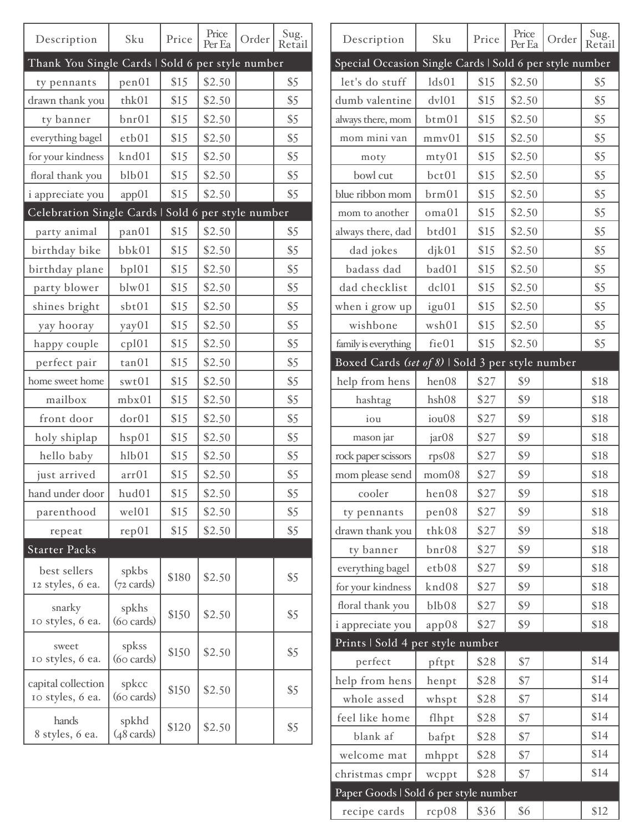| Description                                        | Sku                           | Price | Price<br>Per Ea | Order | Sug.<br>Retail |
|----------------------------------------------------|-------------------------------|-------|-----------------|-------|----------------|
| Thank You Single Cards   Sold 6 per style number   |                               |       |                 |       |                |
| ty pennants                                        | pen01                         | \$15  | \$2.50          |       | \$5            |
| drawn thank you                                    | thk01                         | \$15  | \$2.50          |       | \$5            |
| ty banner                                          | $_{\text{bnr}01}$             | \$15  | \$2.50          |       | \$5            |
| everything bagel                                   | etb01                         | \$15  | \$2.50          |       | \$5            |
| for your kindness                                  | knd01                         | \$15  | \$2.50          |       | \$5            |
| floral thank you                                   | b1b01                         | \$15  | \$2.50          |       | \$5            |
| i appreciate you                                   | app01                         | \$15  | \$2.50          |       | \$5            |
| Celebration Single Cards   Sold 6 per style number |                               |       |                 |       |                |
| party animal                                       | pan01                         | \$15  | \$2.50          |       | \$5            |
| birthday bike                                      | bbk01                         | \$15  | \$2.50          |       | \$5            |
| birthday plane                                     | bp101                         | \$15  | \$2.50          |       | \$5            |
| party blower                                       | blw01                         | \$15  | \$2.50          |       | \$5            |
| shines bright                                      | sbt01                         | \$15  | \$2.50          |       | \$5            |
| yay hooray                                         | yay01                         | \$15  | \$2.50          |       | \$5            |
| happy couple                                       | cpl01                         | \$15  | \$2.50          |       | \$5            |
| perfect pair                                       | tan 01                        | \$15  | \$2.50          |       | \$5            |
| home sweet home                                    | swt01                         | \$15  | \$2.50          |       | \$5            |
| mailbox                                            | mbx01                         | \$15  | \$2.50          |       | \$5            |
| front door                                         | dor01                         | \$15  | \$2.50          |       | \$5            |
| holy shiplap                                       | hsp01                         | \$15  | \$2.50          |       | \$5            |
| hello baby                                         | hlb01                         | \$15  | \$2.50          |       | \$5            |
| just arrived                                       | arr01                         | \$15  | \$2.50          |       | \$5            |
| hand under door                                    | hud01                         | \$15  | \$2.50          |       | \$5            |
| parenthood                                         | wel01                         | \$15  | \$2.50          |       | \$5            |
| repeat                                             | rep01                         | \$15  | \$2.50          |       | \$5            |
| <b>Starter Packs</b>                               |                               |       |                 |       |                |
| best sellers<br>12 styles, 6 ea.                   | spkbs<br>$(72 \text{ cards})$ | \$180 | \$2.50          |       | \$5            |
| snarky<br>10 styles, 6 ea.                         | spkhs<br>$(60 \text{ cards})$ | \$150 | \$2.50          |       | \$5            |
| sweet<br>10 styles, 6 ea.                          | spkss<br>$(60 \text{ cards})$ | \$150 | \$2.50          |       | \$5            |
| capital collection<br>10 styles, 6 ea.             | spkcc<br>$(60 \text{ cards})$ | \$150 | \$2.50          |       | \$5            |
| hands<br>8 styles, 6 ea.                           | spkhd<br>$(48 \text{ cards})$ | \$120 | \$2.50          |       | \$5            |

| Description                                             | Sku               | Price | Price<br>Per Ea | Order | Sug.<br>Retail |
|---------------------------------------------------------|-------------------|-------|-----------------|-------|----------------|
| Special Occasion Single Cards   Sold 6 per style number |                   |       |                 |       |                |
| let's do stuff                                          | 1ds01             | \$15  | \$2.50          |       | \$5            |
| dumb valentine                                          | dv101             | \$15  | \$2.50          |       | \$5            |
| always there, mom                                       | btm01             | \$15  | \$2.50          |       | \$5            |
| mom mini van                                            | mmv01             | \$15  | \$2.50          |       | \$5            |
| moty                                                    | mty01             | \$15  | \$2.50          |       | \$5            |
| bowl cut                                                | bct01             | \$15  | \$2.50          |       | \$5            |
| blue ribbon mom                                         | brm <sub>01</sub> | \$15  | \$2.50          |       | \$5            |
| mom to another                                          | oma01             | \$15  | \$2.50          |       | \$5            |
| always there, dad                                       | btd01             | \$15  | \$2.50          |       | \$5            |
| dad jokes                                               | dik01             | \$15  | \$2.50          |       | \$5            |
| badass dad                                              | bad01             | \$15  | \$2.50          |       | \$5            |
| dad checklist                                           | dcl01             | \$15  | \$2.50          |       | \$5            |
| when i grow up                                          | igu01             | \$15  | \$2.50          |       | \$5            |
| wishbone                                                | wsh01             | \$15  | \$2.50          |       | \$5            |
| family is everything                                    | fie01             | \$15  | \$2.50          |       | \$5            |
| Boxed Cards (set of 8)   Sold 3 per style number        |                   |       |                 |       |                |
| help from hens                                          | hen08             | \$27  | \$9             |       | \$18           |
| hashtag                                                 | hsh08             | \$27  | \$9             |       | \$18           |
| iou                                                     | iou08             | \$27  | \$9             |       | \$18           |
| mason jar                                               | jar <sub>08</sub> | \$27  | \$9             |       | \$18           |
| rock paper scissors                                     | rps08             | \$27  | \$9             |       | \$18           |
| mom please send                                         | mom08             | \$27  | \$9             |       | \$18           |
| cooler                                                  | hen08             | \$27  | \$9             |       | \$18           |
| ty pennants                                             | pen08             | \$27  | \$9             |       | \$18           |
| drawn thank you                                         | thk08             | \$27  | \$9             |       | \$18           |
| ty banner                                               | $_{\text{bnr}08}$ | \$27  | \$9             |       | \$18           |
| everything bagel                                        | etb08             | \$27  | \$9             |       | \$18           |
| for your kindness                                       | knd08             | \$27  | \$9             |       | \$18           |
| floral thank you                                        | b1b08             | \$27  | \$9             |       | \$18           |
| i appreciate you                                        | app08             | \$27  | \$9             |       | \$18           |
| Prints   Sold 4 per style number                        |                   |       |                 |       |                |
| perfect                                                 | pftpt             | \$28  | \$7             |       | \$14           |
| help from hens                                          | henpt             | \$28  | \$7             |       | \$14           |
| whole assed                                             | whspt             | \$28  | \$7             |       | \$14           |
| feel like home                                          | flhpt             | \$28  | \$7             |       | \$14           |
| blank af                                                | bafpt             | \$28  | \$7             |       | \$14           |
| welcome mat                                             | mhppt             | \$28  | \$7             |       | \$14           |
| christmas cmpr                                          | wcppt             | \$28  | \$7             |       | \$14           |
| Paper Goods   Sold 6 per style number                   |                   |       |                 |       |                |
| recipe cards                                            | rcp08             | \$36  | \$6             |       | \$12           |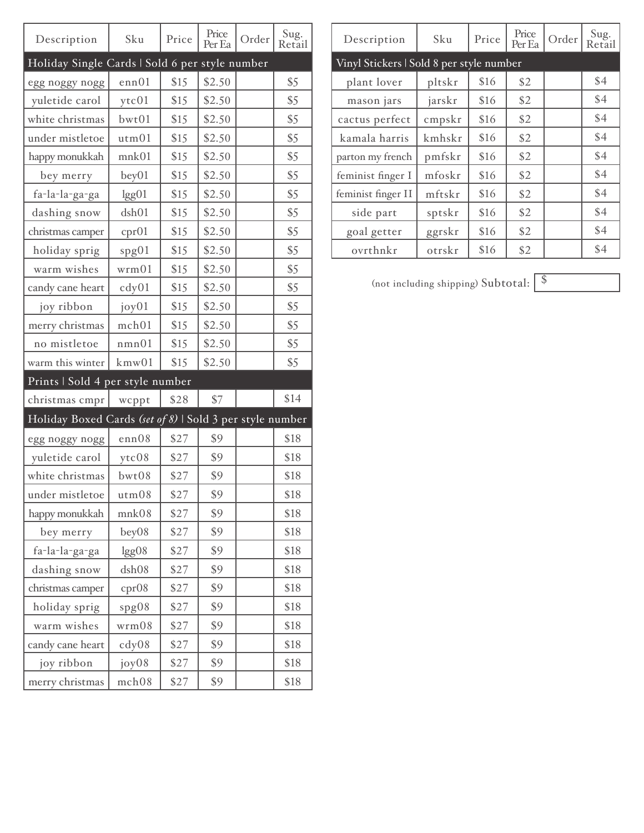| Description                                              | Sku               | Price | Price<br>Per Ea | Order | Sug.<br>Retail |
|----------------------------------------------------------|-------------------|-------|-----------------|-------|----------------|
| Holiday Single Cards   Sold 6 per style number           |                   |       |                 |       |                |
| egg noggy nogg                                           | enn01             | \$15  | \$2.50          |       | \$5            |
| yuletide carol                                           | ytc01             | \$15  | \$2.50          |       | \$5            |
| white christmas                                          | bwt01             | \$15  | \$2.50          |       | \$5            |
| under mistletoe                                          | utm01             | \$15  | \$2.50          |       | \$5            |
| happy monukkah                                           | mnk <sub>01</sub> | \$15  | \$2.50          |       | \$5            |
| bey merry                                                | bey01             | \$15  | \$2.50          |       | \$5            |
| fa-la-la-ga-ga                                           | lgg01             | \$15  | \$2.50          |       | \$5            |
| dashing snow                                             | dsh01             | \$15  | \$2.50          |       | \$5            |
| christmas camper                                         | cpr01             | \$15  | \$2.50          |       | \$5            |
| holiday sprig                                            | spg01             | \$15  | \$2.50          |       | \$5            |
| warm wishes                                              | wrm01             | \$15  | \$2.50          |       | \$5            |
| candy cane heart                                         | cdy01             | \$15  | \$2.50          |       | \$5            |
| joy ribbon                                               | joy01             | \$15  | \$2.50          |       | \$5            |
| merry christmas                                          | mch01             | \$15  | \$2.50          |       | \$5            |
| no mistletoe                                             | nmn01             | \$15  | \$2.50          |       | \$5            |
| warm this winter                                         | kmw01             | \$15  | \$2.50          |       | \$5            |
| Prints   Sold 4 per style number                         |                   |       |                 |       |                |
| christmas cmpr                                           | wcppt             | \$28  | \$7             |       | \$14           |
| Holiday Boxed Cards (set of 8)   Sold 3 per style number |                   |       |                 |       |                |
| egg noggy nogg                                           | enn08             | \$27  | \$9             |       | \$18           |
| yuletide carol                                           | ytc08             | \$27  | \$9             |       | \$18           |
| white christmas                                          | bwt08             | \$27  | \$9             |       | \$18           |
| under mistletoe                                          | utm08             | \$27  | \$9             |       | \$18           |
| happy monukkah                                           | mnk08             | \$27  | \$9             |       | \$18           |
| bey merry                                                | bey08             | \$27  | \$9             |       | \$18           |
| fa-la-la-ga-ga                                           | lgg08             | \$27  | \$9             |       | \$18           |
| dashing snow                                             | dsh08             | \$27  | \$9             |       | \$18           |
| christmas camper                                         | cpr08             | \$27  | \$9             |       | \$18           |
| holiday sprig                                            | spg08             | \$27  | \$9             |       | \$18           |
| warm wishes                                              | wrm08             | \$27  | \$9             |       | \$18           |
| candy cane heart                                         | $\text{cdy}08$    | \$27  | \$9             |       | \$18           |
| joy ribbon                                               | joy08             | \$27  | \$9             |       | \$18           |
| merry christmas                                          | mch08             | \$27  | \$9             |       | \$18           |

| Description                              | Sku    | Price | Price<br>Per Ea | Order | Sug.<br>Retail |  |
|------------------------------------------|--------|-------|-----------------|-------|----------------|--|
| Vinyl Stickers   Sold 8 per style number |        |       |                 |       |                |  |
| plant lover                              | pltskr | \$16  | \$2             |       | \$4            |  |
| mason jars                               | jarskr | \$16  | \$2             |       | \$4            |  |
| cactus perfect                           | cmpskr | \$16  | \$2             |       | \$4            |  |
| kamala harris                            | kmhskr | \$16  | \$2             |       | \$4            |  |
| parton my french                         | pmfskr | \$16  | \$2             |       | \$4            |  |
| feminist finger I                        | mfoskr | \$16  | \$2             |       | \$4            |  |
| feminist finger II                       | mftskr | \$16  | \$2             |       | \$4            |  |
| side part                                | sptskr | \$16  | \$2             |       | \$4            |  |
| goal getter                              | ggrskr | \$16  | \$2             |       | \$4            |  |
| ovrthnkr                                 | otrskr | \$16  | \$2             |       | \$4            |  |

(not including shipping) Subtotal:  $\sqrt{\frac{\$}{s}}$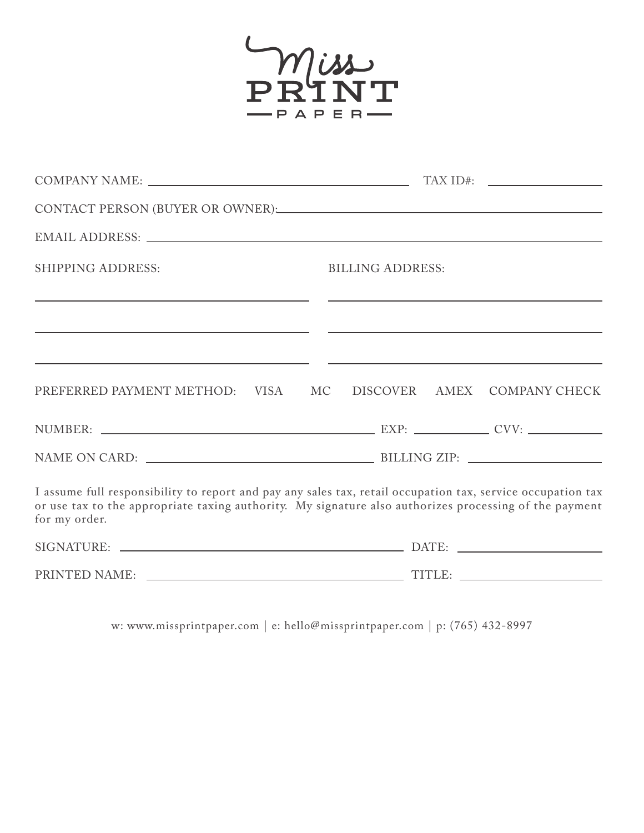

|                                                                                                                 | CONTACT PERSON (BUYER OR OWNER): CONTACT PERSON (BUYER OR OWNER):                                                                                                                                                     |
|-----------------------------------------------------------------------------------------------------------------|-----------------------------------------------------------------------------------------------------------------------------------------------------------------------------------------------------------------------|
|                                                                                                                 |                                                                                                                                                                                                                       |
| <b>SHIPPING ADDRESS:</b>                                                                                        | <b>BILLING ADDRESS:</b>                                                                                                                                                                                               |
| the contract of the contract of the contract of the contract of the contract of the contract of the contract of | <u> 1980 - John Harry Harry Harry Harry Harry Harry Harry Harry Harry Harry Harry Harry Harry Harry Harry Harry H</u>                                                                                                 |
| PREFERRED PAYMENT METHOD: VISA                                                                                  | <u> 1989 - Andrea Santa Andrea Santa Andrea Santa Andrea Santa Andrea Santa Andrea Santa Andrea Santa Andrea San</u><br>DISCOVER AMEX COMPANY CHECK<br>MC <sub>.</sub>                                                |
|                                                                                                                 |                                                                                                                                                                                                                       |
|                                                                                                                 |                                                                                                                                                                                                                       |
| for my order.                                                                                                   | I assume full responsibility to report and pay any sales tax, retail occupation tax, service occupation tax<br>or use tax to the appropriate taxing authority. My signature also authorizes processing of the payment |
|                                                                                                                 |                                                                                                                                                                                                                       |
|                                                                                                                 |                                                                                                                                                                                                                       |

w: www.missprintpaper.com | e: hello@missprintpaper.com | p: (765) 432-8997